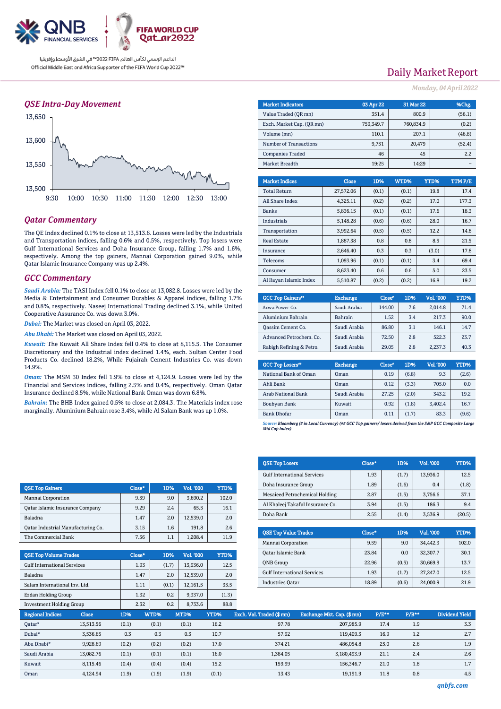

## *QSE Intra-Day Movement*



## *Qatar Commentary*

The QE Index declined 0.1% to close at 13,513.6. Losses were led by the Industrials and Transportation indices, falling 0.6% and 0.5%, respectively. Top losers were Gulf International Services and Doha Insurance Group, falling 1.7% and 1.6%, respectively. Among the top gainers, Mannai Corporation gained 9.0%, while Qatar Islamic Insurance Company was up 2.4%.

### *GCC Commentary*

*Saudi Arabia:* The TASI Index fell 0.1% to close at 13,082.8. Losses were led by the Media & Entertainment and Consumer Durables & Apparel indices, falling 1.7% and 0.8%, respectively. Naseej International Trading declined 3.1%, while United Cooperative Assurance Co. was down 3.0%.

*Dubai:* The Market was closed on April 03, 2022.

*Abu Dhabi:* The Market was closed on April 03, 2022.

*Kuwait:* The Kuwait All Share Index fell 0.4% to close at 8,115.5. The Consumer Discretionary and the Industrial index declined 1.4%, each. Sultan Center Food Products Co. declined 18.2%, While Fujairah Cement Industries Co. was down 14.9%.

*Oman:* The MSM 30 Index fell 1.9% to close at 4,124.9. Losses were led by the Financial and Services indices, falling 2.5% and 0.4%, respectively. Oman Qatar Insurance declined 8.5%, while National Bank Oman was down 6.8%.

*Bahrain:* The BHB Index gained 0.5% to close at 2,084.3. The Materials index rose marginally. Aluminium Bahrain rose 3.4%, while Al Salam Bank was up 1.0%.

QSE Top Gainers Close\* 1D% Vol. '000 YTD% Mannai Corporation 1 9.59 9.0 3.690.2 102.0 Qatar Islamic Insurance Company 9.29 2.4 65.5 16.1 Baladna 1.47 2.0 12,539.0 2.0 Qatar Industrial Manufacturing Co.  $\begin{array}{|c|c|c|c|c|c|c|c|} \hline \end{array}$  3.15  $\begin{array}{|c|c|c|c|c|c|c|} \hline \end{array}$  191.8  $\begin{array}{|c|c|c|c|c|c|c|c|c|} \hline \end{array}$  2.6 The Commercial Bank 7.56 1.1 1,208.4 11.9

QSE Top Volume Trades Close\* 1D% Vol. '000 YTD% Gulf International Services 1.93 (1.7) 13,936.0 12.5 Baladna 1.47 2.0 12,539.0 2.0 Salam International Inv. Ltd. 1.11 (0.1) 12,161.5 35.5 Ezdan Holding Group  $1.32$   $0.2$   $9,337.0$  (1.3)  $I<sub>N</sub>$  Investment Holding Group 2.32 0.2 8.733.6 88.8

| <b>Daily Market Report</b> |  |  |  |
|----------------------------|--|--|--|

*Monday, 04 April 2022*

| <b>Market Indicators</b>  | 03 Apr 22 | <b>31 Mar 22</b> | %Chg.  |
|---------------------------|-----------|------------------|--------|
| Value Traded (OR mn)      | 351.4     | 800.9            | (56.1) |
| Exch. Market Cap. (OR mn) | 759,349.7 | 760.834.9        | (0.2)  |
| Volume (mn)               | 110.1     | 207.1            | (46.8) |
| Number of Transactions    | 9,751     | 20.479           | (52.4) |
| <b>Companies Traded</b>   | 46        | 45               | 2.2    |
| Market Breadth            | 19:25     | 14:29            |        |

| <b>Market Indices</b>  | Close     | 1D%   | WTD%  | YTD%  | TTMP/E |
|------------------------|-----------|-------|-------|-------|--------|
| <b>Total Return</b>    | 27,572.06 | (0.1) | (0.1) | 19.8  | 17.4   |
| All Share Index        | 4.325.11  | (0.2) | (0.2) | 17.0  | 177.3  |
| <b>Banks</b>           | 5,836.15  | (0.1) | (0.1) | 17.6  | 18.3   |
| Industrials            | 5,148.28  | (0.6) | (0.6) | 28.0  | 16.7   |
| Transportation         | 3.992.64  | (0.5) | (0.5) | 12.2  | 14.8   |
| <b>Real Estate</b>     | 1.887.38  | 0.8   | 0.8   | 8.5   | 21.5   |
| Insurance              | 2.646.40  | 0.3   | 0.3   | (3.0) | 17.8   |
| <b>Telecoms</b>        | 1.093.96  | (0.1) | (0.1) | 3.4   | 69.4   |
| Consumer               | 8.623.40  | 0.6   | 0.6   | 5.0   | 23.5   |
| Al Rayan Islamic Index | 5.510.87  | (0.2) | (0.2) | 16.8  | 19.2   |

| <b>GCC Top Gainers</b> <sup>#</sup> | <b>Exchange</b> | Close <sup>®</sup> | 1D% | Vol. '000 | YTD% |
|-------------------------------------|-----------------|--------------------|-----|-----------|------|
| Acwa Power Co.                      | Saudi Arabia    | 144.00             | 7.6 | 2.014.8   | 71.4 |
| Aluminium Bahrain                   | <b>Bahrain</b>  | 1.52               | 3.4 | 217.3     | 90.0 |
| <b>Qassim Cement Co.</b>            | Saudi Arabia    | 86.80              | 3.1 | 146.1     | 14.7 |
| Advanced Petrochem. Co.             | Saudi Arabia    | 72.50              | 2.8 | 522.3     | 23.7 |
| Rabigh Refining & Petro.            | Saudi Arabia    | 29.05              | 2.8 | 2.237.3   | 40.3 |

| <b>GCC Top Losers</b> <sup>88</sup> | <b>Exchange</b> | Close <sup>®</sup> | 1D%   | <b>Vol.'000</b> | YTD%  |
|-------------------------------------|-----------------|--------------------|-------|-----------------|-------|
| National Bank of Oman               | Oman            | 0.19               | (6.8) | 9.3             | (2.6) |
| Ahli Bank                           | Oman            | 0.12               | (3.3) | 705.0           | 0.0   |
| Arab National Bank                  | Saudi Arabia    | 27.25              | (2.0) | 343.2           | 19.2  |
| Boubyan Bank                        | Kuwait          | 0.92               | (1.8) | 3.402.4         | 16.7  |
| <b>Bank Dhofar</b>                  | Oman            | 0.11               | (1.7) | 83.3            | (9.6) |

*Source: Bloomberg (# in Local Currency) (## GCC Top gainers/ losers derived from the S&P GCC Composite Large Mid Cap Index)*

| <b>QSE Top Losers</b>              | Close* | 1D%   | Vol. '000 | YTD%   |
|------------------------------------|--------|-------|-----------|--------|
| <b>Gulf International Services</b> | 1.93   | (1.7) | 13.936.0  | 12.5   |
| Doha Insurance Group               | 1.89   | (1.6) | 0.4       | (1.8)  |
| Mesaieed Petrochemical Holding     | 2.87   | (1.5) | 3.756.6   | 37.1   |
| Al Khaleej Takaful Insurance Co.   | 3.94   | (1.5) | 186.3     | 9.4    |
| Doha Bank                          | 2.55   | (1.4) | 3.536.9   | (20.5) |
|                                    |        |       |           |        |
| <b>OSE Top Value Trades</b>        | Close* | 1D%   | Val. '000 | YTD%   |
| Mannai Corporation                 | 9.59   | 9.0   | 34.442.3  | 102.0  |
| Oatar Islamic Rank                 | 23.84  | n n   | 32 307 7  | 301    |

| <b>OSE Top Value Trades</b>        | Close" | 1D%   | Val. '000' | YTD%. |
|------------------------------------|--------|-------|------------|-------|
| Mannai Corporation                 | 9.59   | 9.0   | 34.442.3   | 102.0 |
| Oatar Islamic Bank                 | 23.84  | 0.0   | 32.307.7   | 30.1  |
| <b>ONB</b> Group                   | 22.96  | (0.5) | 30.669.9   | 13.7  |
| <b>Gulf International Services</b> | 1.93   | (1.7) | 27.247.0   | 12.5  |
| <b>Industries Oatar</b>            | 18.89  | (0.6) | 24,000.9   | 21.9  |

| my cochient rioranty or oup |              |       | ----  | $\ddotsc$<br>"''" | ----  |                           |                            |          |         |                |
|-----------------------------|--------------|-------|-------|-------------------|-------|---------------------------|----------------------------|----------|---------|----------------|
| <b>Regional Indices</b>     | <b>Close</b> | 1D%   | WTD%  | MTD%              | YTD%  | Exch. Val. Traded (\$ mn) | Exchange Mkt. Cap. (\$ mn) | $P/E***$ | $P/B**$ | Dividend Yield |
| Qatar*                      | 13,513.56    | (0.1) | (0.1) | (0.1)             | 16.2  | 97.78                     | 207,985.9                  | 17.4     | 1.9     | 3.3            |
| Dubai*                      | 3,536.65     | 0.3   | 0.3   | 0.3               | 10.7  | 57.92                     | 119.409.3                  | 16.9     | 1.2     | 2.7            |
| Abu Dhabi*                  | 9,928.69     | (0.2) | (0.2) | (0.2)             | 17.0  | 374.21                    | 486,054.8                  | 25.0     | 2.6     | 1.9            |
| Saudi Arabia                | 13.082.76    | (0.1) | (0.1) | (0.1)             | 16.0  | 1.384.05                  | 3.180.493.9                | 21.1     | 2.4     | 2.6            |
| Kuwait                      | 8,115.46     | (0.4) | (0.4) | (0.4)             | 15.2  | 159.99                    | 156,346.7                  | 21.0     | 1.8     | 1.7            |
| Oman                        | 4,124.94     | (1.9) | (1.9) | (1.9)             | (0.1) | 13.43                     | 19.191.9                   | 11.8     | 0.8     | 4.5            |
|                             |              |       |       |                   |       |                           |                            |          |         |                |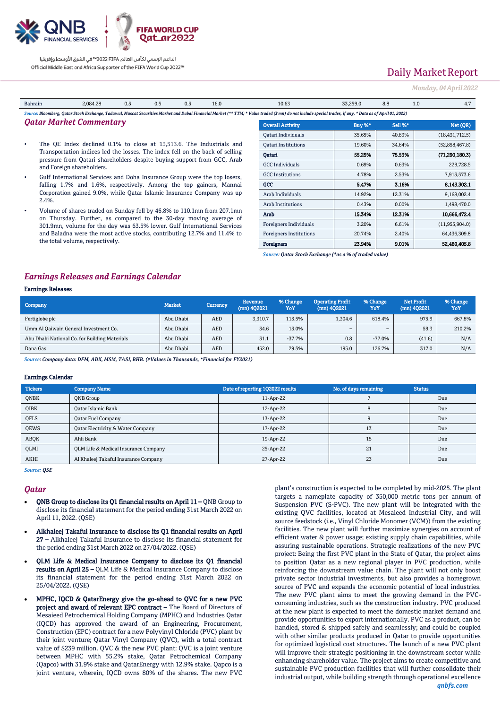

# Daily Market Report

#### *Monday, 04 April 2022*

| Bahrain                                                                                                                                                                                              | 2.084.28 | 0.5 | 0.5 | ∪.∟ | 16.0 | 10.65 | 33,259.0 | 8.8 | 1.0 | <b>I.I</b> |
|------------------------------------------------------------------------------------------------------------------------------------------------------------------------------------------------------|----------|-----|-----|-----|------|-------|----------|-----|-----|------------|
| : Bloomberq, Qatar Stock Exchange, Tadawul, Muscat Securities Market and Dubai Financial Market (** TTM; * Value traded (\$ mn) do not include special trades, if any, * Data as of April 01, 2022): |          |     |     |     |      |       |          |     |     |            |

### *Qatar Market Commentary*

- The QE Index declined 0.1% to close at 13,513.6. The Industrials and Transportation indices led the losses. The index fell on the back of selling pressure from Qatari shareholders despite buying support from GCC, Arab and Foreign shareholders.
- Gulf International Services and Doha Insurance Group were the top losers, falling 1.7% and 1.6%, respectively. Among the top gainers, Mannai Corporation gained 9.0%, while Qatar Islamic Insurance Company was up 2.4%.
- Volume of shares traded on Sunday fell by 46.8% to 110.1mn from 207.1mn on Thursday. Further, as compared to the 30-day moving average of 301.9mn, volume for the day was 63.5% lower. Gulf International Services and Baladna were the most active stocks, contributing 12.7% and 11.4% to the total volume, respectively.

| traded (\$ mn) do not include special trades, if any, * Data as of April 01, 2022) |        |         |                  |  |  |  |  |  |  |
|------------------------------------------------------------------------------------|--------|---------|------------------|--|--|--|--|--|--|
| <b>Overall Activity</b>                                                            | Buy %* | Sell %* | Net (QR)         |  |  |  |  |  |  |
| Oatari Individuals                                                                 | 35.65% | 40.89%  | (18, 431, 712.5) |  |  |  |  |  |  |
| <b>Oatari Institutions</b>                                                         | 19.60% | 34.64%  | (52,858,467.8)   |  |  |  |  |  |  |
| Qatari                                                                             | 55.25% | 75.53%  | (71, 290, 180.3) |  |  |  |  |  |  |
| <b>GCC Individuals</b>                                                             | 0.69%  | 0.63%   | 229,728.5        |  |  |  |  |  |  |
| <b>GCC</b> Institutions                                                            | 4.78%  | 2.53%   | 7,913,573.6      |  |  |  |  |  |  |
| GCC                                                                                | 5.47%  | 3.16%   | 8.143.302.1      |  |  |  |  |  |  |
| Arab Individuals                                                                   | 14.92% | 12.31%  | 9,168,002.4      |  |  |  |  |  |  |
| <b>Arab Institutions</b>                                                           | 0.43%  | 0.00%   | 1,498,470.0      |  |  |  |  |  |  |
| Arab                                                                               | 15.34% | 12.31%  | 10,666,472.4     |  |  |  |  |  |  |
| Foreigners Individuals                                                             | 3.20%  | 6.61%   | (11,955,904.0)   |  |  |  |  |  |  |
| <b>Foreigners Institutions</b>                                                     | 20.74% | 2.40%   | 64,436,309.8     |  |  |  |  |  |  |
| <b>Foreigners</b>                                                                  | 23.94% | 9.01%   | 52.480.405.8     |  |  |  |  |  |  |

*Source: Qatar Stock Exchange (\*as a % of traded value)*

### *Earnings Releases and Earnings Calendar*

### Earnings Releases

| Company                                       | <b>Market</b> | <b>Currency</b> | Revenue,<br>$(mn)$ 402021 | % Change<br>YoY | <b>Operating Profit</b><br>(mn) 402021 | % Change<br>YoY | <b>Net Profit</b><br>(mn) 402021 | % Change<br>YoY |
|-----------------------------------------------|---------------|-----------------|---------------------------|-----------------|----------------------------------------|-----------------|----------------------------------|-----------------|
| Fertiglobe plc                                | Abu Dhabi     | AED             | 3.310.7                   | 113.5%          | 1.304.6                                | 618.4%          | 975.9                            | 667.8%          |
| Umm Al Qaiwain General Investment Co.         | Abu Dhabi     | <b>AED</b>      | 34.6                      | 13.0%           | $\overline{\phantom{a}}$               | -               | 59.3                             | 210.2%          |
| Abu Dhabi National Co. for Building Materials | Abu Dhabi     | AED             | 31.1                      | $-37.7%$        | 0.8                                    | $-77.0%$        | (41.6)                           | N/A             |
| Dana Gas                                      | Abu Dhabi     | <b>AED</b>      | 452.0                     | 29.5%           | 195.0                                  | 126.7%          | 317.0                            | N/A             |

*Source: Company data: DFM, ADX, MSM, TASI, BHB. (#Values in Thousands, \*Financial for FY2021)*

#### Earnings Calendar

| <b>Tickers</b> | <b>Company Name</b>                          | Date of reporting 1Q2022 results | No. of days remaining | <b>Status</b> |
|----------------|----------------------------------------------|----------------------------------|-----------------------|---------------|
| ONBK           | ONB Group                                    | 11-Apr-22                        |                       | Due           |
| <b>OIBK</b>    | <b>Oatar Islamic Bank</b>                    | 12-Apr-22                        |                       | Due           |
| QFLS           | <b>Oatar Fuel Company</b>                    | 13-Apr-22                        |                       | Due           |
| <b>OEWS</b>    | <b>Qatar Electricity &amp; Water Company</b> | 17-Apr-22                        | 13                    | Due           |
| ABOK           | Ahli Bank                                    | 19-Apr-22                        | 15                    | Due           |
| QLMI           | OLM Life & Medical Insurance Company         | 25-Apr-22                        | 21                    | Due           |
| <b>AKHI</b>    | Al Khaleej Takaful Insurance Company         | 27-Apr-22                        | 23                    | Due           |

*Source: QSE*

#### *Qatar*

- QNB Group to disclose its Q1 financial results on April 11 QNB Group to disclose its financial statement for the period ending 31st March 2022 on April 11, 2022. (QSE)
- Alkhaleej Takaful Insurance to disclose its Q1 financial results on April 27 – Alkhaleej Takaful Insurance to disclose its financial statement for the period ending 31st March 2022 on 27/04/2022. (QSE)
- QLM Life & Medical Insurance Company to disclose its Q1 financial results on April 25 – QLM Life & Medical Insurance Company to disclose its financial statement for the period ending 31st March 2022 on 25/04/2022. (QSE)
- MPHC, IQCD & QatarEnergy give the go-ahead to QVC for a new PVC project and award of relevant EPC contract – The Board of Directors of Mesaieed Petrochemical Holding Company (MPHC) and Industries Qatar (IQCD) has approved the award of an Engineering, Procurement, Construction (EPC) contract for a new Polyvinyl Chloride (PVC) plant by their joint venture; Qatar Vinyl Company (QVC), with a total contract value of \$239 million. QVC & the new PVC plant: QVC is a joint venture between MPHC with 55.2% stake, Qatar Petrochemical Company (Qapco) with 31.9% stake and QatarEnergy with 12.9% stake. Qapco is a joint venture, wherein, IQCD owns 80% of the shares. The new PVC

plant's construction is expected to be completed by mid-2025. The plant targets a nameplate capacity of 350,000 metric tons per annum of Suspension PVC (S-PVC). The new plant will be integrated with the existing QVC facilities, located at Mesaieed Industrial City, and will source feedstock (i.e., Vinyl Chloride Monomer (VCM)) from the existing facilities. The new plant will further maximize synergies on account of efficient water & power usage; existing supply chain capabilities, while assuring sustainable operations. Strategic realizations of the new PVC project: Being the first PVC plant in the State of Qatar, the project aims to position Qatar as a new regional player in PVC production, while reinforcing the downstream value chain. The plant will not only boost private sector industrial investments, but also provides a homegrown source of PVC and expands the economic potential of local industries. The new PVC plant aims to meet the growing demand in the PVCconsuming industries, such as the construction industry. PVC produced at the new plant is expected to meet the domestic market demand and provide opportunities to export internationally. PVC as a product, can be handled, stored & shipped safely and seamlessly; and could be coupled with other similar products produced in Qatar to provide opportunities for optimized logistical cost structures. The launch of a new PVC plant will improve their strategic positioning in the downstream sector while enhancing shareholder value. The project aims to create competitive and sustainable PVC production facilities that will further consolidate their industrial output, while building strength through operational excellence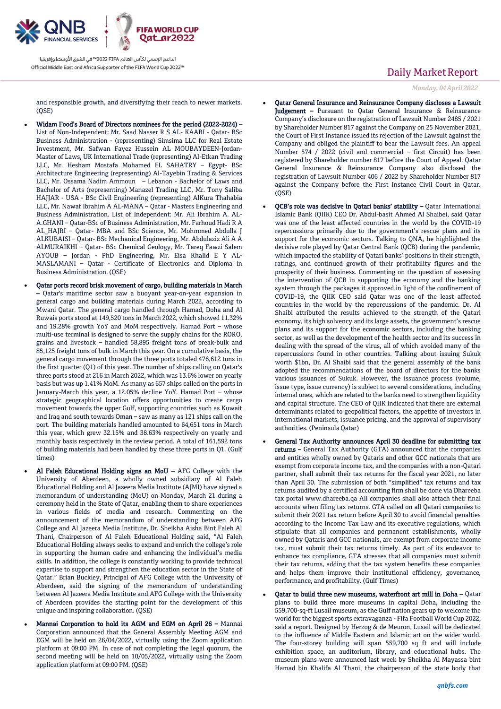

and responsible growth, and diversifying their reach to newer markets.  $(OSE)$ 

- Widam Food's Board of Directors nominees for the period (2022-2024) List of Non-Independent: Mr. Saad Nasser R S AL- KAABI - Qatar- BSc Business Administration - (representing) Simsima LLC for Real Estate Investment, Mr. Safwan Fayez Hussein AL MOUBAYDEEN-Jordan-Master of Laws, UK International Trade (representing) Al-Etkan Trading LLC, Mr. Hesham Mostafa Mohamed EL SAHATRY – Egypt- BSc Architecture Engineering (representing) Al-Tayebin Trading & Services LLC, Mr. Ossama Nadim Ammoun – Lebanon - Bachelor of Laws and Bachelor of Arts (representing) Manazel Trading LLC, Mr. Tony Saliba HAJJAR - USA - BSc Civil Engineering (representing) AlKura Thahabia LLC, Mr. Nawaf Ibrahim A AL-MANA – Qatar - Masters Engineering and Business Administration. List of Independent: Mr. Ali Ibrahim A. AL-A.GHANI – Qatar-BSc of Business Administration, Mr. Farhoud Hadi R A AL\_HAJRI – Qatar- MBA and BSc Science, Mr. Mohmmed Abdulla J ALKUBAISI – Qatar- BSc Mechanical Engineering, Mr. Abdulaziz Ali A A ALMURAIKHI – Qatar- BSc Chemical Geology, Mr. Tareq Fawzi Salem AYOUB – Jordan - PhD Engineering, Mr. Eisa Khalid E Y AL-MASLAMANI – Qatar - Certificate of Electronics and Diploma in Business Administration. (QSE)
- Qatar ports record brisk movement of cargo, building materials in March – Qatar's maritime sector saw a buoyant year-on-year expansion in general cargo and building materials during March 2022, according to Mwani Qatar. The general cargo handled through Hamad, Doha and Al Ruwais ports stood at 149,520 tons in March 2022, which showed 11.32% and 19.28% growth YoY and MoM respectively. Hamad Port – whose multi-use terminal is designed to serve the supply chains for the RORO, grains and livestock – handled 58,895 freight tons of break-bulk and 85,125 freight tons of bulk in March this year. On a cumulative basis, the general cargo movement through the three ports totaled 476,612 tons in the first quarter (Q1) of this year. The number of ships calling on Qatar's three ports stood at 216 in March 2022, which was 13.6% lower on yearly basis but was up 1.41% MoM. As many as 657 ships called on the ports in January-March this year, a 12.05% decline YoY. Hamad Port – whose strategic geographical location offers opportunities to create cargo movement towards the upper Gulf, supporting countries such as Kuwait and Iraq and south towards Oman – saw as many as 121 ships call on the port. The building materials handled amounted to 64,651 tons in March this year, which grew 32.15% and 38.63% respectively on yearly and monthly basis respectively in the review period. A total of 161,592 tons of building materials had been handled by these three ports in Q1. (Gulf times)
- Al Faleh Educational Holding signs an MoU AFG College with the University of Aberdeen, a wholly owned subsidiary of Al Faleh Educational Holding and Al Jazeera Media Institute (AJMI) have signed a memorandum of understanding (MoU) on Monday, March 21 during a ceremony held in the State of Qatar, enabling them to share experiences in various fields of media and research. Commenting on the announcement of the memorandum of understanding between AFG College and Al Jazeera Media Institute, Dr. Sheikha Aisha Bint Faleh Al Thani, Chairperson of Al Faleh Educational Holding said, "Al Faleh Educational Holding always seeks to expand and enrich the college's role in supporting the human cadre and enhancing the individual's media skills. In addition, the college is constantly working to provide technical expertise to support and strengthen the education sector in the State of Qatar." Brian Buckley, Principal of AFG College with the University of Aberdeen, said the signing of the memorandum of understanding between Al Jazeera Media Institute and AFG College with the University of Aberdeen provides the starting point for the development of this unique and inspiring collaboration. (QSE)
- Mannai Corporation to hold its AGM and EGM on April 26 Mannai Corporation announced that the General Assembly Meeting AGM and EGM will be held on 26/04/2022, virtually using the Zoom application platform at 09:00 PM. In case of not completing the legal quorum, the second meeting will be held on 10/05/2022, virtually using the Zoom application platform at 09:00 PM. (QSE)

## Daily Market Report

*Monday, 04 April 2022*

- Qatar General Insurance and Reinsurance Company discloses a Lawsuit Judgement – Pursuant to Qatar General Insurance & Reinsurance Company's disclosure on the registration of Lawsuit Number 2485 / 2021 by Shareholder Number 817 against the Company on 25 November 2021, the Court of First Instance issued its rejection of the Lawsuit against the Company and obliged the plaintiff to bear the Lawsuit fees. An appeal Number 574 / 2022 (civil and commercial – first Circuit) has been registered by Shareholder number 817 before the Court of Appeal. Qatar General Insurance & Reinsurance Company also disclosed the registration of Lawsuit Number 406 / 2022 by Shareholder Number 817 against the Company before the First Instance Civil Court in Qatar. (QSE)
- QCB's role was decisive in Qatari banks' stability Qatar International Islamic Bank (QIIK) CEO Dr. Abdul-basit Ahmed Al Shaibei, said Qatar was one of the least affected countries in the world by the COVID-19 repercussions primarily due to the government's rescue plans and its support for the economic sectors. Talking to QNA, he highlighted the decisive role played by Qatar Central Bank (QCB) during the pandemic, which impacted the stability of Qatari banks' positions in their strength, ratings, and continued growth of their profitability figures and the prosperity of their business. Commenting on the question of assessing the intervention of QCB in supporting the economy and the banking system through the packages it approved in light of the confinement of COVID-19, the QIIK CEO said Qatar was one of the least affected countries in the world by the repercussions of the pandemic. Dr. Al Shaibi attributed the results achieved to the strength of the Qatari economy, its high solvency and its large assets, the government's rescue plans and its support for the economic sectors, including the banking sector, as well as the development of the health sector and its success in dealing with the spread of the virus, all of which avoided many of the repercussions found in other countries. Talking about issuing Sukuk worth \$1bn, Dr. Al Shaibi said that the general assembly of the bank adopted the recommendations of the board of directors for the banks various issuances of Sukuk. However, the issuance process (volume, issue type, issue currency) is subject to several considerations, including internal ones, which are related to the banks need to strengthen liquidity and capital structure. The CEO of QIIK indicated that there are external determinants related to geopolitical factors, the appetite of investors in international markets, issuance pricing, and the approval of supervisory authorities. (Peninsula Qatar)
- General Tax Authority announces April 30 deadline for submitting tax returns – General Tax Authority (GTA) announced that the companies and entities wholly owned by Qataris and other GCC nationals that are exempt from corporate income tax, and the companies with a non-Qatari partner, shall submit their tax returns for the fiscal year 2021, no later than April 30. The submission of both "simplified" tax returns and tax returns audited by a certified accounting firm shall be done via Dhareeba tax portal www.dhareeba.qa All companies shall also attach their final accounts when filing tax returns. GTA called on all Qatari companies to submit their 2021 tax return before April 30 to avoid financial penalties according to the Income Tax Law and its executive regulations, which stipulate that all companies and permanent establishments, wholly owned by Qataris and GCC nationals, are exempt from corporate income tax, must submit their tax returns timely. As part of its endeavor to enhance tax compliance, GTA stresses that all companies must submit their tax returns, adding that the tax system benefits these companies and helps them improve their institutional efficiency, governance, performance, and profitability. (Gulf Times)
- Qatar to build three new museums, waterfront art mill in Doha Qatar plans to build three more museums in capital Doha, including the 559,700-sq-ft Lusail museum, as the Gulf nation gears up to welcome the world for the biggest sports extravaganza - Fifa Football World Cup 2022, said a report. Designed by Herzog & de Meuron, Lusail will be dedicated to the influence of Middle Eastern and Islamic art on the wider world. The four-storey building will span 559,700 sq ft and will include exhibition space, an auditorium, library, and educational hubs. The museum plans were announced last week by Sheikha Al Mayassa bint Hamad bin Khalifa Al Thani, the chairperson of the state body that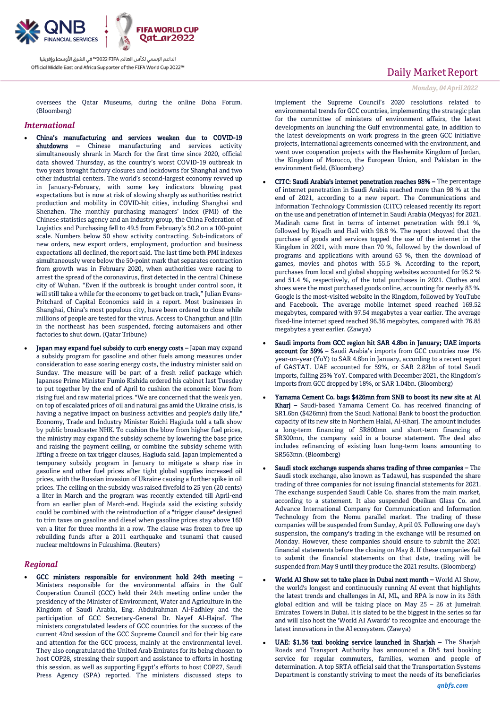

oversees the Qatar Museums, during the online Doha Forum. (Bloomberg)

### *International*

- China's manufacturing and services weaken due to COVID-19 shutdowns - Chinese manufacturing and services activity simultaneously shrank in March for the first time since 2020, official data showed Thursday, as the country's worst COVID-19 outbreak in two years brought factory closures and lockdowns for Shanghai and two other industrial centers. The world's second-largest economy revved up in January-February, with some key indicators blowing past expectations but is now at risk of slowing sharply as authorities restrict production and mobility in COVID-hit cities, including Shanghai and Shenzhen. The monthly purchasing managers' index (PMI) of the Chinese statistics agency and an industry group, the China Federation of Logistics and Purchasing fell to 49.5 from February's 50.2 on a 100-point scale. Numbers below 50 show activity contracting. Sub-indicators of new orders, new export orders, employment, production and business expectations all declined, the report said. The last time both PMI indexes simultaneously were below the 50-point mark that separates contraction from growth was in February 2020, when authorities were racing to arrest the spread of the coronavirus, first detected in the central Chinese city of Wuhan. "Even if the outbreak is brought under control soon, it will still take a while for the economy to get back on track," Julian Evans-Pritchard of Capital Economics said in a report. Most businesses in Shanghai, China's most populous city, have been ordered to close while millions of people are tested for the virus. Access to Changchun and Jilin in the northeast has been suspended, forcing automakers and other factories to shut down. (Qatar Tribune)
- Japan may expand fuel subsidy to curb energy costs Japan may expand a subsidy program for gasoline and other fuels among measures under consideration to ease soaring energy costs, the industry minister said on Sunday. The measure will be part of a fresh relief package which Japanese Prime Minister Fumio Kishida ordered his cabinet last Tuesday to put together by the end of April to cushion the economic blow from rising fuel and raw material prices. "We are concerned that the weak yen, on top of escalated prices of oil and natural gas amid the Ukraine crisis, is having a negative impact on business activities and people's daily life," Economy, Trade and Industry Minister Koichi Hagiuda told a talk show by public broadcaster NHK. To cushion the blow from higher fuel prices, the ministry may expand the subsidy scheme by lowering the base price and raising the payment ceiling, or combine the subsidy scheme with lifting a freeze on tax trigger clauses, Hagiuda said. Japan implemented a temporary subsidy program in January to mitigate a sharp rise in gasoline and other fuel prices after tight global supplies increased oil prices, with the Russian invasion of Ukraine causing a further spike in oil prices. The ceiling on the subsidy was raised fivefold to 25 yen (20 cents) a liter in March and the program was recently extended till April-end from an earlier plan of March-end. Hagiuda said the existing subsidy could be combined with the reintroduction of a "trigger clause" designed to trim taxes on gasoline and diesel when gasoline prices stay above 160 yen a liter for three months in a row. The clause was frozen to free up rebuilding funds after a 2011 earthquake and tsunami that caused nuclear meltdowns in Fukushima. (Reuters)

### *Regional*

 GCC ministers responsible for environment hold 24th meeting – Ministers responsible for the environmental affairs in the Gulf Cooperation Council (GCC) held their 24th meeting online under the presidency of the Minister of Environment, Water and Agriculture in the Kingdom of Saudi Arabia, Eng. Abdulrahman Al-Fadhley and the participation of GCC Secretary-General Dr. Nayef Al-Hajraf. The ministers congratulated leaders of GCC countries for the success of the current 42nd session of the GCC Supreme Council and for their big care and attention for the GCC process, mainly at the environmental level. They also congratulated the United Arab Emirates for its being chosen to host COP28, stressing their support and assistance to efforts in hosting this session, as well as supporting Egypt's efforts to host COP27, Saudi Press Agency (SPA) reported. The ministers discussed steps to

## Daily Market Report

*Monday, 04 April 2022*

implement the Supreme Council's 2020 resolutions related to environmental trends for GCC countries, implementing the strategic plan for the committee of ministers of environment affairs, the latest developments on launching the Gulf environmental gate, in addition to the latest developments on work progress in the green GCC initiative projects, international agreements concerned with the environment, and went over cooperation projects with the Hashemite Kingdom of Jordan, the Kingdom of Morocco, the European Union, and Pakistan in the environment field. (Bloomberg)

- CITC: Saudi Arabia's internet penetration reaches 98% The percentage of internet penetration in Saudi Arabia reached more than 98 % at the end of 2021, according to a new report. The Communications and Information Technology Commission (CITC) released recently its report on the use and penetration of internet in Saudi Arabia (Meqyas) for 2021. Madinah came first in terms of internet penetration with 99.1 %, followed by Riyadh and Hail with 98.8 %. The report showed that the purchase of goods and services topped the use of the internet in the Kingdom in 2021, with more than 70 %, followed by the download of programs and applications with around 63 %, then the download of games, movies and photos with 55.5 %. According to the report, purchases from local and global shopping websites accounted for 95.2 % and 51.4 %, respectively, of the total purchases in 2021. Clothes and shoes were the most purchased goods online, accounting for nearly 83 %. Google is the most-visited website in the Kingdom, followed by YouTube and Facebook. The average mobile internet speed reached 169.52 megabytes, compared with 97.54 megabytes a year earlier. The average fixed-line internet speed reached 96.36 megabytes, compared with 76.85 megabytes a year earlier. (Zawya)
- Saudi imports from GCC region hit SAR 4.8bn in January; UAE imports account for 59% – Saudi Arabia's imports from GCC countries rose 1% year-on-year (YoY) to SAR 4.8bn in January, according to a recent report of GASTAT. UAE accounted for 59%, or SAR 2.82bn of total Saudi imports, falling 25% YoY. Compared with December 2021, the Kingdom's imports from GCC dropped by 18%, or SAR 1.04bn. (Bloomberg)
- Yamama Cement Co. bags \$426mn from SNB to boost its new site at Al Kharj – Saudi-based Yamama Cement Co. has received financing of SR1.6bn (\$426mn) from the Saudi National Bank to boost the production capacity of its new site in Northern Halal, Al-Kharj. The amount includes a long-term financing of SR800mn and short-term financing of SR300mn, the company said in a bourse statement. The deal also includes refinancing of existing loan long-term loans amounting to SR563mn. (Bloomberg)
- Saudi stock exchange suspends shares trading of three companies The Saudi stock exchange, also known as Tadawul, has suspended the share trading of three companies for not issuing financial statements for 2021. The exchange suspended Saudi Cable Co. shares from the main market, according to a statement. It also suspended Obeikan Glass Co. and Advance International Company for Communication and Information Technology from the Nomu parallel market. The trading of these companies will be suspended from Sunday, April 03. Following one day's suspension, the company's trading in the exchange will be resumed on Monday. However, these companies should ensure to submit the 2021 financial statements before the closing on May 8. If these companies fail to submit the financial statements on that date, trading will be suspended from May 9 until they produce the 2021 results. (Bloomberg)
- World AI Show set to take place in Dubai next month World AI Show, the world's longest and continuously running AI event that highlights the latest trends and challenges in AI, ML, and RPA is now in its 35th global edition and will be taking place on May 25 – 26 at Jumeirah Emirates Towers in Dubai. It is slated to be the biggest in the series so far and will also host the 'World AI Awards' to recognize and encourage the latest innovations in the AI ecosystem. (Zawya)
- UAE: \$1.36 taxi booking service launched in Sharjah The Sharjah Roads and Transport Authority has announced a Dh5 taxi booking service for regular commuters, families, women and people of determination. A top SRTA official said that the Transportation Systems Department is constantly striving to meet the needs of its beneficiaries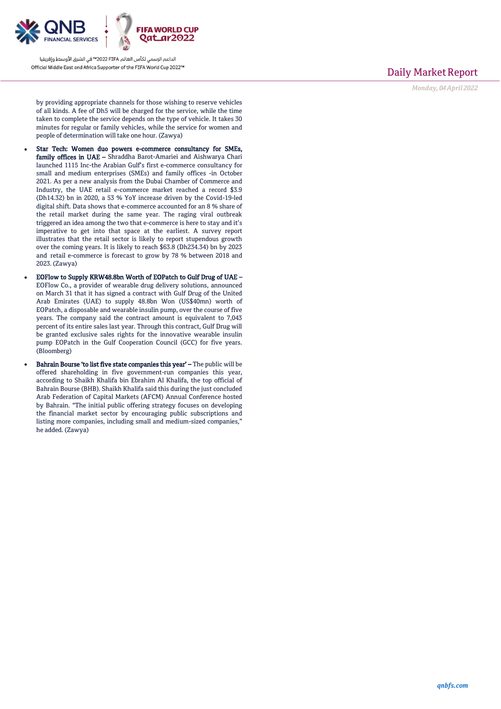

Daily Market Report

*Monday, 04 April 2022*

by providing appropriate channels for those wishing to reserve vehicles of all kinds. A fee of Dh5 will be charged for the service, while the time taken to complete the service depends on the type of vehicle. It takes 30 minutes for regular or family vehicles, while the service for women and people of determination will take one hour. (Zawya)

- Star Tech: Women duo powers e-commerce consultancy for SMEs, family offices in UAE - Shraddha Barot-Amariei and Aishwarya Chari launched 1115 Inc-the Arabian Gulf's first e-commerce consultancy for small and medium enterprises (SMEs) and family offices -in October 2021. As per a new analysis from the Dubai Chamber of Commerce and Industry, the UAE retail e-commerce market reached a record \$3.9 (Dh14.32) bn in 2020, a 53 % YoY increase driven by the Covid-19-led digital shift. Data shows that e-commerce accounted for an 8 % share of the retail market during the same year. The raging viral outbreak triggered an idea among the two that e-commerce is here to stay and it's imperative to get into that space at the earliest. A survey report illustrates that the retail sector is likely to report stupendous growth over the coming years. It is likely to reach \$63.8 (Dh234.34) bn by 2023 and retail e-commerce is forecast to grow by 78 % between 2018 and 2023. (Zawya)
- EOFlow to Supply KRW48.8bn Worth of EOPatch to Gulf Drug of UAE EOFlow Co., a provider of wearable drug delivery solutions, announced on March 31 that it has signed a contract with Gulf Drug of the United Arab Emirates (UAE) to supply 48.8bn Won (US\$40mn) worth of EOPatch, a disposable and wearable insulin pump, over the course of five years. The company said the contract amount is equivalent to 7,043 percent of its entire sales last year. Through this contract, Gulf Drug will be granted exclusive sales rights for the innovative wearable insulin pump EOPatch in the Gulf Cooperation Council (GCC) for five years. (Bloomberg)
- Bahrain Bourse 'to list five state companies this year' The public will be offered shareholding in five government-run companies this year, according to Shaikh Khalifa bin Ebrahim Al Khalifa, the top official of Bahrain Bourse (BHB). Shaikh Khalifa said this during the just concluded Arab Federation of Capital Markets (AFCM) Annual Conference hosted by Bahrain. "The initial public offering strategy focuses on developing the financial market sector by encouraging public subscriptions and listing more companies, including small and medium-sized companies," he added. (Zawya)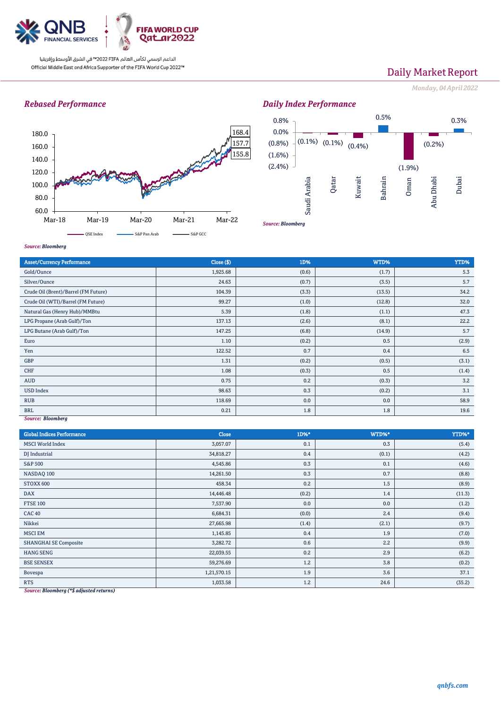

# Daily Market Report

*Monday, 04 April 2022*

## *Rebased Performance*





#### *Source: Bloomberg*

| <b>Asset/Currency Performance</b>    | Close ( \$) | 1D%   | WTD%   | YTD%  |  |  |
|--------------------------------------|-------------|-------|--------|-------|--|--|
| Gold/Ounce                           | 1,925.68    | (0.6) | (1.7)  | 5.3   |  |  |
| Silver/Ounce                         | 24.63       | (0.7) | (3.5)  | 5.7   |  |  |
| Crude Oil (Brent)/Barrel (FM Future) | 104.39      | (3.3) | (13.5) | 34.2  |  |  |
| Crude Oil (WTI)/Barrel (FM Future)   | 99.27       | (1.0) | (12.8) | 32.0  |  |  |
| Natural Gas (Henry Hub)/MMBtu        | 5.39        | (1.8) | (1.1)  | 47.3  |  |  |
| LPG Propane (Arab Gulf)/Ton          | 137.13      | (2.6) | (8.1)  | 22.2  |  |  |
| LPG Butane (Arab Gulf)/Ton           | 147.25      | (6.8) | (14.9) | 5.7   |  |  |
| Euro                                 | 1.10        | (0.2) | 0.5    | (2.9) |  |  |
| Yen                                  | 122.52      | 0.7   | 0.4    | 6.5   |  |  |
| GBP                                  | 1.31        | (0.2) | (0.5)  | (3.1) |  |  |
| CHF                                  | 1.08        | (0.3) | 0.5    | (1.4) |  |  |
| <b>AUD</b>                           | 0.75        | 0.2   | (0.3)  | 3.2   |  |  |
| <b>USD Index</b>                     | 98.63       | 0.3   | (0.2)  | 3.1   |  |  |
| <b>RUB</b>                           | 118.69      | 0.0   | 0.0    | 58.9  |  |  |
| <b>BRL</b>                           | 0.21        | 1.8   | 1.8    | 19.6  |  |  |
| Source: Bloomberg                    |             |       |        |       |  |  |

### *Source: Bloomberg*

| <b>Global Indices Performance</b> | Close       | 1D%*  | WTD%* | YTD%*  |
|-----------------------------------|-------------|-------|-------|--------|
| <b>MSCI</b> World Index           | 3,057.07    | 0.1   | 0.3   | (5.4)  |
| DJ Industrial                     | 34,818.27   | 0.4   | (0.1) | (4.2)  |
| <b>S&amp;P 500</b>                | 4,545.86    | 0.3   | 0.1   | (4.6)  |
| NASDAQ 100                        | 14,261.50   | 0.3   | 0.7   | (8.8)  |
| STOXX 600                         | 458.34      | 0.2   | 1.5   | (8.9)  |
| <b>DAX</b>                        | 14,446.48   | (0.2) | 1.4   | (11.3) |
| <b>FTSE 100</b>                   | 7,537.90    | 0.0   | 0.0   | (1.2)  |
| <b>CAC 40</b>                     | 6,684.31    | (0.0) | 2.4   | (9.4)  |
| Nikkei                            | 27,665.98   | (1.4) | (2.1) | (9.7)  |
| <b>MSCI EM</b>                    | 1,145.85    | 0.4   | 1.9   | (7.0)  |
| <b>SHANGHAI SE Composite</b>      | 3,282.72    | 0.6   | 2.2   | (9.9)  |
| <b>HANG SENG</b>                  | 22,039.55   | 0.2   | 2.9   | (6.2)  |
| <b>BSE SENSEX</b>                 | 59,276.69   | 1.2   | 3.8   | (0.2)  |
| Bovespa                           | 1,21,570.15 | 1.9   | 3.6   | 37.1   |
| <b>RTS</b>                        | 1,033.58    | 1.2   | 24.6  | (35.2) |

*Source: Bloomberg (\*\$ adjusted returns)*